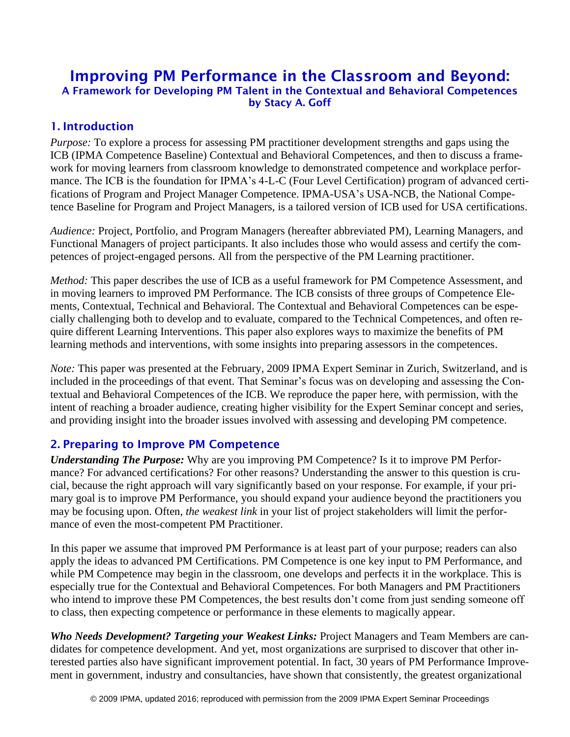# Improving PM Performance in the Classroom and Beyond: A Framework for Developing PM Talent in the Contextual and Behavioral Competences by Stacy A. Goff

#### 1. Introduction

*Purpose:* To explore a process for assessing PM practitioner development strengths and gaps using the ICB (IPMA Competence Baseline) Contextual and Behavioral Competences, and then to discuss a framework for moving learners from classroom knowledge to demonstrated competence and workplace performance. The ICB is the foundation for IPMA's 4-L-C (Four Level Certification) program of advanced certifications of Program and Project Manager Competence. IPMA-USA's USA-NCB, the National Competence Baseline for Program and Project Managers, is a tailored version of ICB used for USA certifications.

*Audience:* Project, Portfolio, and Program Managers (hereafter abbreviated PM), Learning Managers, and Functional Managers of project participants. It also includes those who would assess and certify the competences of project-engaged persons. All from the perspective of the PM Learning practitioner.

*Method:* This paper describes the use of ICB as a useful framework for PM Competence Assessment, and in moving learners to improved PM Performance. The ICB consists of three groups of Competence Elements, Contextual, Technical and Behavioral. The Contextual and Behavioral Competences can be especially challenging both to develop and to evaluate, compared to the Technical Competences, and often require different Learning Interventions. This paper also explores ways to maximize the benefits of PM learning methods and interventions, with some insights into preparing assessors in the competences.

*Note:* This paper was presented at the February, 2009 IPMA Expert Seminar in Zurich, Switzerland, and is included in the proceedings of that event. That Seminar's focus was on developing and assessing the Contextual and Behavioral Competences of the ICB. We reproduce the paper here, with permission, with the intent of reaching a broader audience, creating higher visibility for the Expert Seminar concept and series, and providing insight into the broader issues involved with assessing and developing PM competence.

#### 2. Preparing to Improve PM Competence

*Understanding The Purpose:* Why are you improving PM Competence? Is it to improve PM Performance? For advanced certifications? For other reasons? Understanding the answer to this question is crucial, because the right approach will vary significantly based on your response. For example, if your primary goal is to improve PM Performance, you should expand your audience beyond the practitioners you may be focusing upon. Often, *the weakest link* in your list of project stakeholders will limit the performance of even the most-competent PM Practitioner.

In this paper we assume that improved PM Performance is at least part of your purpose; readers can also apply the ideas to advanced PM Certifications. PM Competence is one key input to PM Performance, and while PM Competence may begin in the classroom, one develops and perfects it in the workplace. This is especially true for the Contextual and Behavioral Competences. For both Managers and PM Practitioners who intend to improve these PM Competences, the best results don't come from just sending someone off to class, then expecting competence or performance in these elements to magically appear.

*Who Needs Development? Targeting your Weakest Links:* Project Managers and Team Members are candidates for competence development. And yet, most organizations are surprised to discover that other interested parties also have significant improvement potential. In fact, 30 years of PM Performance Improvement in government, industry and consultancies, have shown that consistently, the greatest organizational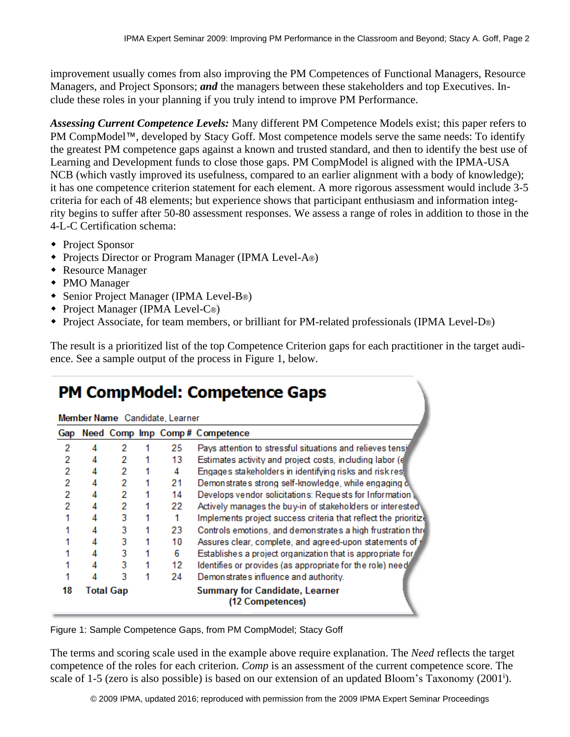improvement usually comes from also improving the PM Competences of Functional Managers, Resource Managers, and Project Sponsors; *and* the managers between these stakeholders and top Executives. Include these roles in your planning if you truly intend to improve PM Performance.

*Assessing Current Competence Levels:* Many different PM Competence Models exist; this paper refers to PM CompModel™, developed by Stacy Goff. Most competence models serve the same needs: To identify the greatest PM competence gaps against a known and trusted standard, and then to identify the best use of Learning and Development funds to close those gaps. PM CompModel is aligned with the IPMA-USA NCB (which vastly improved its usefulness, compared to an earlier alignment with a body of knowledge); it has one competence criterion statement for each element. A more rigorous assessment would include 3-5 criteria for each of 48 elements; but experience shows that participant enthusiasm and information integrity begins to suffer after 50-80 assessment responses. We assess a range of roles in addition to those in the 4-L-C Certification schema:

- ◆ Project Sponsor
- ◆ Projects Director or Program Manager (IPMA Level-A®)
- Resource Manager
- PMO Manager
- Senior Project Manager (IPMA Level-B®)
- Project Manager (IPMA Level-C®)
- Project Associate, for team members, or brilliant for PM-related professionals (IPMA Level-D®)

The result is a prioritized list of the top Competence Criterion gaps for each practitioner in the target audience. See a sample output of the process in Figure 1, below.

# **PM CompModel: Competence Gaps**

| Member Name Candidate, Learner |  |           |  |    |                                                                 |
|--------------------------------|--|-----------|--|----|-----------------------------------------------------------------|
| Gap                            |  |           |  |    | Need Comp Imp Comp# Competence                                  |
| 2                              |  | 2         |  | 25 | Pays attention to stressful situations and relieves tensi       |
| 2                              |  | 2         |  | 13 | Estimates activity and project costs, including labor (e)       |
| 2                              |  | 2         |  | 4  | Engages stakeholders in identifying risks and risk res          |
| 2                              |  | 2         |  | 21 | Demonstrates strong self-knowledge, while engaging o            |
| $\overline{2}$                 |  | 2         |  | 14 | Develops vendor solicitations: Requests for Information         |
| 2                              |  | 2         |  | 22 | Actively manages the buy-in of stakeholders or interested       |
|                                |  | 3         |  |    | Implements project success criteria that reflect the prioritize |
|                                |  | 3         |  | 23 | Controls emotions, and demonstrates a high frustration three    |
|                                |  | 3         |  | 10 | Assures clear, complete, and agreed-upon statements of j        |
|                                |  | 3         |  | 6  | Establishes a project organization that is appropriate for      |
|                                |  | 3         |  | 12 | Identifies or provides (as appropriate for the role) need       |
|                                |  | 3         |  | 24 | Demonstrates influence and authority.                           |
| 18                             |  | Total Gap |  |    | <b>Summary for Candidate, Learner</b><br>(12 Competences)       |

Figure 1: Sample Competence Gaps, from PM CompModel; Stacy Goff

The terms and scoring scale used in the example above require explanation. The *Need* reflects the target competence of the roles for each criterion. *Comp* is an assessment of the current competence score. The scale of 1-5 (zero is also possible) is based on our extension of an updated Bloom's Taxonomy (2001<sup>i</sup>).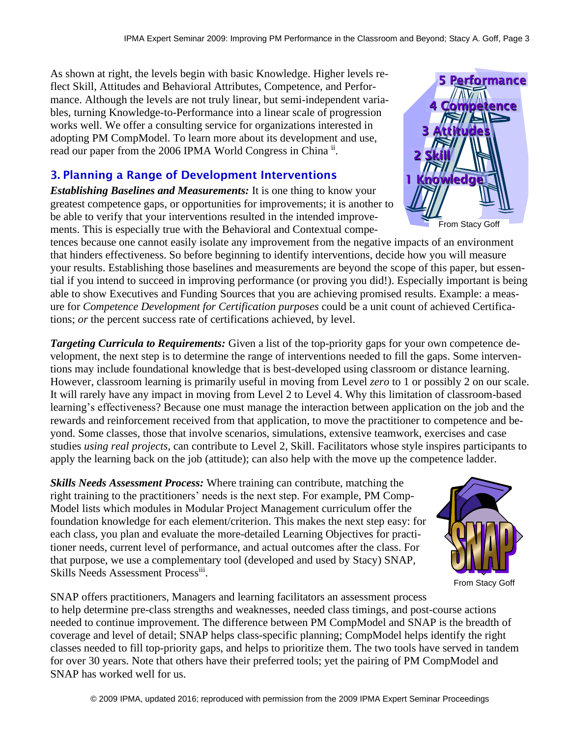As shown at right, the levels begin with basic Knowledge. Higher levels reflect Skill, Attitudes and Behavioral Attributes, Competence, and Performance. Although the levels are not truly linear, but semi-independent variables, turning Knowledge-to-Performance into a linear scale of progression works well. We offer a consulting service for organizations interested in adopting PM CompModel. To learn more about its development and use, read our paper from the 2006 IPMA World Congress in China ii.

### 3. Planning a Range of Development Interventions

*Establishing Baselines and Measurements:* It is one thing to know your greatest competence gaps, or opportunities for improvements; it is another to be able to verify that your interventions resulted in the intended improvements. This is especially true with the Behavioral and Contextual compe-

tences because one cannot easily isolate any improvement from the negative impacts of an environment that hinders effectiveness. So before beginning to identify interventions, decide how you will measure your results. Establishing those baselines and measurements are beyond the scope of this paper, but essential if you intend to succeed in improving performance (or proving you did!). Especially important is being able to show Executives and Funding Sources that you are achieving promised results. Example: a measure for *Competence Development for Certification purposes* could be a unit count of achieved Certifications; *or* the percent success rate of certifications achieved, by level.

*Targeting Curricula to Requirements:* Given a list of the top-priority gaps for your own competence development, the next step is to determine the range of interventions needed to fill the gaps. Some interventions may include foundational knowledge that is best-developed using classroom or distance learning. However, classroom learning is primarily useful in moving from Level *zero* to 1 or possibly 2 on our scale. It will rarely have any impact in moving from Level 2 to Level 4. Why this limitation of classroom-based learning's effectiveness? Because one must manage the interaction between application on the job and the rewards and reinforcement received from that application, to move the practitioner to competence and beyond. Some classes, those that involve scenarios, simulations, extensive teamwork, exercises and case studies *using real projects*, can contribute to Level 2, Skill. Facilitators whose style inspires participants to apply the learning back on the job (attitude); can also help with the move up the competence ladder.

*Skills Needs Assessment Process:* Where training can contribute, matching the right training to the practitioners' needs is the next step. For example, PM Comp-Model lists which modules in Modular Project Management curriculum offer the foundation knowledge for each element/criterion. This makes the next step easy: for each class, you plan and evaluate the more-detailed Learning Objectives for practitioner needs, current level of performance, and actual outcomes after the class. For that purpose, we use a complementary tool (developed and used by Stacy) SNAP, Skills Needs Assessment Processiii.



From Stacy Goff

SNAP offers practitioners, Managers and learning facilitators an assessment process to help determine pre-class strengths and weaknesses, needed class timings, and post-course actions needed to continue improvement. The difference between PM CompModel and SNAP is the breadth of coverage and level of detail; SNAP helps class-specific planning; CompModel helps identify the right classes needed to fill top-priority gaps, and helps to prioritize them. The two tools have served in tandem for over 30 years. Note that others have their preferred tools; yet the pairing of PM CompModel and SNAP has worked well for us.

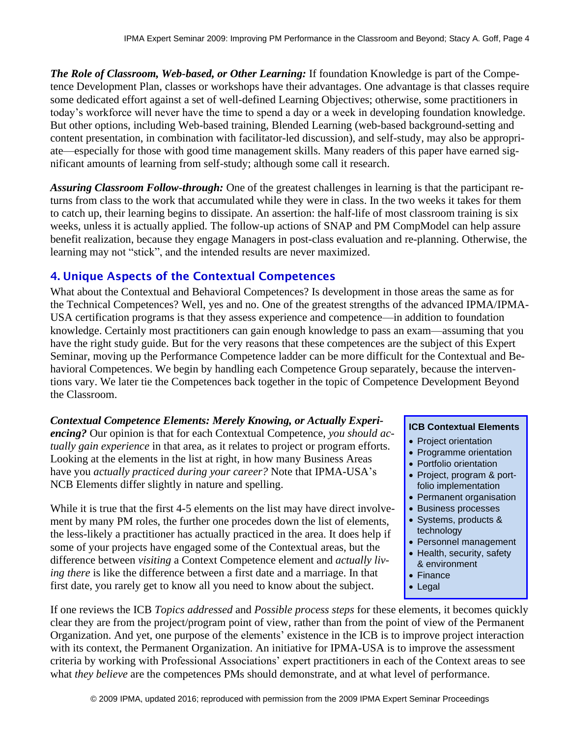*The Role of Classroom, Web-based, or Other Learning:* If foundation Knowledge is part of the Competence Development Plan, classes or workshops have their advantages. One advantage is that classes require some dedicated effort against a set of well-defined Learning Objectives; otherwise, some practitioners in today's workforce will never have the time to spend a day or a week in developing foundation knowledge. But other options, including Web-based training, Blended Learning (web-based background-setting and content presentation, in combination with facilitator-led discussion), and self-study, may also be appropriate—especially for those with good time management skills. Many readers of this paper have earned significant amounts of learning from self-study; although some call it research.

*Assuring Classroom Follow-through:* One of the greatest challenges in learning is that the participant returns from class to the work that accumulated while they were in class. In the two weeks it takes for them to catch up, their learning begins to dissipate. An assertion: the half-life of most classroom training is six weeks, unless it is actually applied. The follow-up actions of SNAP and PM CompModel can help assure benefit realization, because they engage Managers in post-class evaluation and re-planning. Otherwise, the learning may not "stick", and the intended results are never maximized.

#### 4. Unique Aspects of the Contextual Competences

What about the Contextual and Behavioral Competences? Is development in those areas the same as for the Technical Competences? Well, yes and no. One of the greatest strengths of the advanced IPMA/IPMA-USA certification programs is that they assess experience and competence—in addition to foundation knowledge. Certainly most practitioners can gain enough knowledge to pass an exam—assuming that you have the right study guide. But for the very reasons that these competences are the subject of this Expert Seminar, moving up the Performance Competence ladder can be more difficult for the Contextual and Behavioral Competences. We begin by handling each Competence Group separately, because the interventions vary. We later tie the Competences back together in the topic of Competence Development Beyond the Classroom.

#### *Contextual Competence Elements: Merely Knowing, or Actually Experiencing?* Our opinion is that for each Contextual Competence, *you should actually gain experience* in that area, as it relates to project or program efforts. Looking at the elements in the list at right, in how many Business Areas have you *actually practiced during your career?* Note that IPMA-USA's NCB Elements differ slightly in nature and spelling.

While it is true that the first 4-5 elements on the list may have direct involvement by many PM roles, the further one procedes down the list of elements, the less-likely a practitioner has actually practiced in the area. It does help if some of your projects have engaged some of the Contextual areas, but the difference between *visiting* a Context Competence element and *actually living there* is like the difference between a first date and a marriage. In that first date, you rarely get to know all you need to know about the subject.

#### **ICB Contextual Elements**

- Project orientation
- Programme orientation
- Portfolio orientation
- Project, program & portfolio implementation
- Permanent organisation
- Business processes
- Systems, products & technology
- Personnel management
- Health, security, safety & environment
- Finance
- Legal

If one reviews the ICB *Topics addressed* and *Possible process steps* for these elements, it becomes quickly clear they are from the project/program point of view, rather than from the point of view of the Permanent Organization. And yet, one purpose of the elements' existence in the ICB is to improve project interaction with its context, the Permanent Organization. An initiative for IPMA-USA is to improve the assessment criteria by working with Professional Associations' expert practitioners in each of the Context areas to see what *they believe* are the competences PMs should demonstrate, and at what level of performance.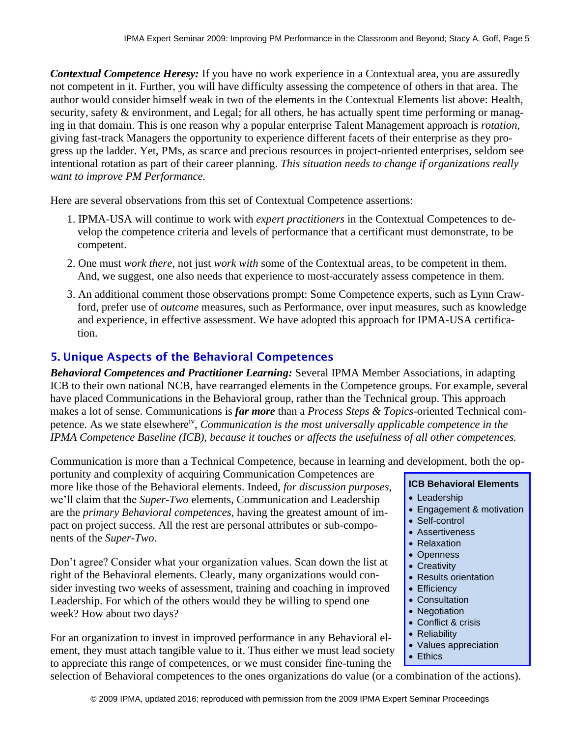*Contextual Competence Heresy:* If you have no work experience in a Contextual area, you are assuredly not competent in it. Further, you will have difficulty assessing the competence of others in that area. The author would consider himself weak in two of the elements in the Contextual Elements list above: Health, security, safety & environment, and Legal; for all others, he has actually spent time performing or managing in that domain. This is one reason why a popular enterprise Talent Management approach is *rotation*, giving fast-track Managers the opportunity to experience different facets of their enterprise as they progress up the ladder. Yet, PMs, as scarce and precious resources in project-oriented enterprises, seldom see intentional rotation as part of their career planning. *This situation needs to change if organizations really want to improve PM Performance.*

Here are several observations from this set of Contextual Competence assertions:

- 1. IPMA-USA will continue to work with *expert practitioners* in the Contextual Competences to develop the competence criteria and levels of performance that a certificant must demonstrate, to be competent.
- 2. One must *work there*, not just *work with* some of the Contextual areas, to be competent in them. And, we suggest, one also needs that experience to most-accurately assess competence in them.
- 3. An additional comment those observations prompt: Some Competence experts, such as Lynn Crawford, prefer use of *outcome* measures, such as Performance, over input measures, such as knowledge and experience, in effective assessment. We have adopted this approach for IPMA-USA certification.

# 5. Unique Aspects of the Behavioral Competences

*Behavioral Competences and Practitioner Learning:* Several IPMA Member Associations, in adapting ICB to their own national NCB, have rearranged elements in the Competence groups. For example, several have placed Communications in the Behavioral group, rather than the Technical group. This approach makes a lot of sense. Communications is *far more* than a *Process Steps & Topics-*oriented Technical competence. As we state elsewhere<sup>iv</sup>, *Communication is the most universally applicable competence in the IPMA Competence Baseline (ICB), because it touches or affects the usefulness of all other competences.* 

Communication is more than a Technical Competence, because in learning and development, both the op-

portunity and complexity of acquiring Communication Competences are more like those of the Behavioral elements. Indeed, *for discussion purposes*, we'll claim that the *Super-Two* elements, Communication and Leadership are the *primary Behavioral competences*, having the greatest amount of impact on project success. All the rest are personal attributes or sub-components of the *Super-Two*.

Don't agree? Consider what your organization values. Scan down the list at right of the Behavioral elements. Clearly, many organizations would consider investing two weeks of assessment, training and coaching in improved Leadership. For which of the others would they be willing to spend one week? How about two days?

For an organization to invest in improved performance in any Behavioral element, they must attach tangible value to it. Thus either we must lead society to appreciate this range of competences, or we must consider fine-tuning the

#### **ICB Behavioral Elements**

- Leadership
- Engagement & motivation
- Self-control
- Assertiveness
- Relaxation
- Openness
- Creativity
- Results orientation
- Efficiency
- Consultation
- Negotiation
- Conflict & crisis
- Reliability
- Values appreciation
- Ethics

selection of Behavioral competences to the ones organizations do value (or a combination of the actions).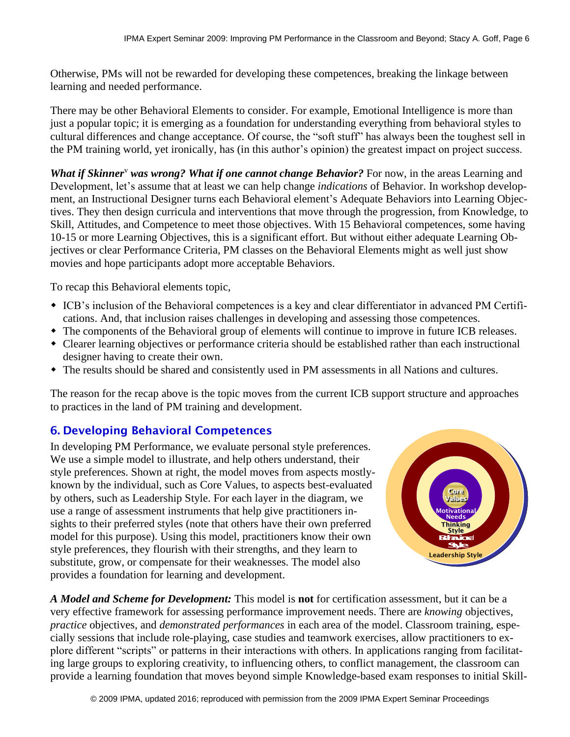Otherwise, PMs will not be rewarded for developing these competences, breaking the linkage between learning and needed performance.

There may be other Behavioral Elements to consider. For example, Emotional Intelligence is more than just a popular topic; it is emerging as a foundation for understanding everything from behavioral styles to cultural differences and change acceptance. Of course, the "soft stuff" has always been the toughest sell in the PM training world, yet ironically, has (in this author's opinion) the greatest impact on project success.

*What if Skinner*<sup>v</sup> *was wrong? What if one cannot change Behavior?* For now, in the areas Learning and Development, let's assume that at least we can help change *indications* of Behavior. In workshop development, an Instructional Designer turns each Behavioral element's Adequate Behaviors into Learning Objectives. They then design curricula and interventions that move through the progression, from Knowledge, to Skill, Attitudes, and Competence to meet those objectives. With 15 Behavioral competences, some having 10-15 or more Learning Objectives, this is a significant effort. But without either adequate Learning Objectives or clear Performance Criteria, PM classes on the Behavioral Elements might as well just show movies and hope participants adopt more acceptable Behaviors.

To recap this Behavioral elements topic,

- ICB's inclusion of the Behavioral competences is a key and clear differentiator in advanced PM Certifications. And, that inclusion raises challenges in developing and assessing those competences.
- The components of the Behavioral group of elements will continue to improve in future ICB releases.
- Clearer learning objectives or performance criteria should be established rather than each instructional designer having to create their own.
- The results should be shared and consistently used in PM assessments in all Nations and cultures.

The reason for the recap above is the topic moves from the current ICB support structure and approaches to practices in the land of PM training and development.

# 6. Developing Behavioral Competences

In developing PM Performance, we evaluate personal style preferences. We use a simple model to illustrate, and help others understand, their style preferences. Shown at right, the model moves from aspects mostlyknown by the individual, such as Core Values, to aspects best-evaluated by others, such as Leadership Style. For each layer in the diagram, we use a range of assessment instruments that help give practitioners insights to their preferred styles (note that others have their own preferred model for this purpose). Using this model, practitioners know their own style preferences, they flourish with their strengths, and they learn to substitute, grow, or compensate for their weaknesses. The model also provides a foundation for learning and development.



*A Model and Scheme for Development:* This model is **not** for certification assessment, but it can be a very effective framework for assessing performance improvement needs. There are *knowing* objectives, *practice* objectives, and *demonstrated performances* in each area of the model. Classroom training, especially sessions that include role-playing, case studies and teamwork exercises, allow practitioners to explore different "scripts" or patterns in their interactions with others. In applications ranging from facilitating large groups to exploring creativity, to influencing others, to conflict management, the classroom can provide a learning foundation that moves beyond simple Knowledge-based exam responses to initial Skill-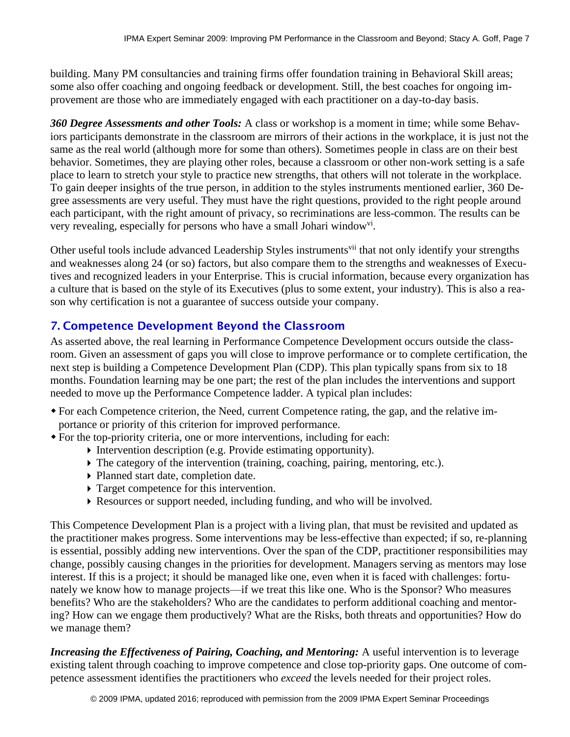building. Many PM consultancies and training firms offer foundation training in Behavioral Skill areas; some also offer coaching and ongoing feedback or development. Still, the best coaches for ongoing improvement are those who are immediately engaged with each practitioner on a day-to-day basis.

*360 Degree Assessments and other Tools:* A class or workshop is a moment in time; while some Behaviors participants demonstrate in the classroom are mirrors of their actions in the workplace, it is just not the same as the real world (although more for some than others). Sometimes people in class are on their best behavior. Sometimes, they are playing other roles, because a classroom or other non-work setting is a safe place to learn to stretch your style to practice new strengths, that others will not tolerate in the workplace. To gain deeper insights of the true person, in addition to the styles instruments mentioned earlier, 360 Degree assessments are very useful. They must have the right questions, provided to the right people around each participant, with the right amount of privacy, so recriminations are less-common. The results can be very revealing, especially for persons who have a small Johari window<sup>vi</sup>.

Other useful tools include advanced Leadership Styles instruments<sup>vii</sup> that not only identify your strengths and weaknesses along 24 (or so) factors, but also compare them to the strengths and weaknesses of Executives and recognized leaders in your Enterprise. This is crucial information, because every organization has a culture that is based on the style of its Executives (plus to some extent, your industry). This is also a reason why certification is not a guarantee of success outside your company.

# 7. Competence Development Beyond the Classroom

As asserted above, the real learning in Performance Competence Development occurs outside the classroom. Given an assessment of gaps you will close to improve performance or to complete certification, the next step is building a Competence Development Plan (CDP). This plan typically spans from six to 18 months. Foundation learning may be one part; the rest of the plan includes the interventions and support needed to move up the Performance Competence ladder. A typical plan includes:

- For each Competence criterion, the Need, current Competence rating, the gap, and the relative importance or priority of this criterion for improved performance.
- For the top-priority criteria, one or more interventions, including for each:
	- Intervention description (e.g. Provide estimating opportunity).
	- $\triangleright$  The category of the intervention (training, coaching, pairing, mentoring, etc.).
	- Planned start date, completion date.
	- Target competence for this intervention.
	- Resources or support needed, including funding, and who will be involved.

This Competence Development Plan is a project with a living plan, that must be revisited and updated as the practitioner makes progress. Some interventions may be less-effective than expected; if so, re-planning is essential, possibly adding new interventions. Over the span of the CDP, practitioner responsibilities may change, possibly causing changes in the priorities for development. Managers serving as mentors may lose interest. If this is a project; it should be managed like one, even when it is faced with challenges: fortunately we know how to manage projects—if we treat this like one. Who is the Sponsor? Who measures benefits? Who are the stakeholders? Who are the candidates to perform additional coaching and mentoring? How can we engage them productively? What are the Risks, both threats and opportunities? How do we manage them?

*Increasing the Effectiveness of Pairing, Coaching, and Mentoring:* A useful intervention is to leverage existing talent through coaching to improve competence and close top-priority gaps. One outcome of competence assessment identifies the practitioners who *exceed* the levels needed for their project roles.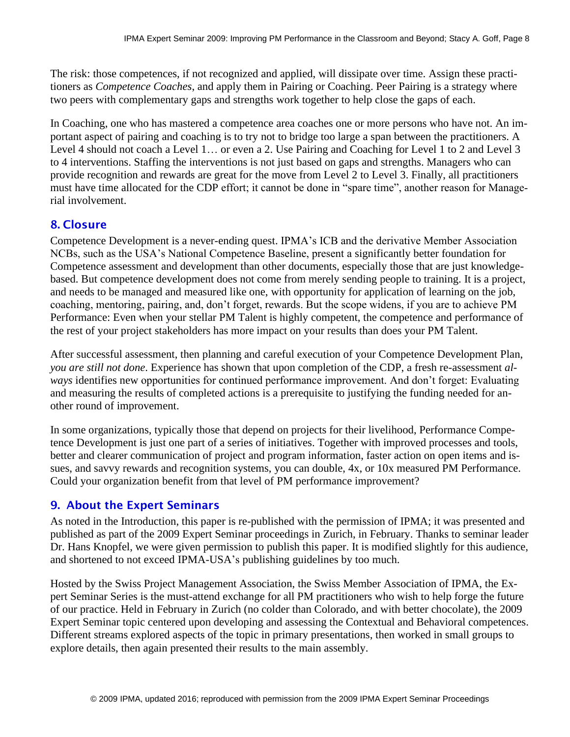The risk: those competences, if not recognized and applied, will dissipate over time. Assign these practitioners as *Competence Coaches*, and apply them in Pairing or Coaching. Peer Pairing is a strategy where two peers with complementary gaps and strengths work together to help close the gaps of each.

In Coaching, one who has mastered a competence area coaches one or more persons who have not. An important aspect of pairing and coaching is to try not to bridge too large a span between the practitioners. A Level 4 should not coach a Level 1… or even a 2. Use Pairing and Coaching for Level 1 to 2 and Level 3 to 4 interventions. Staffing the interventions is not just based on gaps and strengths. Managers who can provide recognition and rewards are great for the move from Level 2 to Level 3. Finally, all practitioners must have time allocated for the CDP effort; it cannot be done in "spare time", another reason for Managerial involvement.

#### 8. Closure

Competence Development is a never-ending quest. IPMA's ICB and the derivative Member Association NCBs, such as the USA's National Competence Baseline, present a significantly better foundation for Competence assessment and development than other documents, especially those that are just knowledgebased. But competence development does not come from merely sending people to training. It is a project, and needs to be managed and measured like one, with opportunity for application of learning on the job, coaching, mentoring, pairing, and, don't forget, rewards. But the scope widens, if you are to achieve PM Performance: Even when your stellar PM Talent is highly competent, the competence and performance of the rest of your project stakeholders has more impact on your results than does your PM Talent.

After successful assessment, then planning and careful execution of your Competence Development Plan, *you are still not done*. Experience has shown that upon completion of the CDP, a fresh re-assessment *always* identifies new opportunities for continued performance improvement. And don't forget: Evaluating and measuring the results of completed actions is a prerequisite to justifying the funding needed for another round of improvement.

In some organizations, typically those that depend on projects for their livelihood, Performance Competence Development is just one part of a series of initiatives. Together with improved processes and tools, better and clearer communication of project and program information, faster action on open items and issues, and savvy rewards and recognition systems, you can double, 4x, or 10x measured PM Performance. Could your organization benefit from that level of PM performance improvement?

# 9. About the Expert Seminars

As noted in the Introduction, this paper is re-published with the permission of IPMA; it was presented and published as part of the 2009 Expert Seminar proceedings in Zurich, in February. Thanks to seminar leader Dr. Hans Knopfel, we were given permission to publish this paper. It is modified slightly for this audience, and shortened to not exceed IPMA-USA's publishing guidelines by too much.

Hosted by the Swiss Project Management Association, the Swiss Member Association of IPMA, the Expert Seminar Series is the must-attend exchange for all PM practitioners who wish to help forge the future of our practice. Held in February in Zurich (no colder than Colorado, and with better chocolate), the 2009 Expert Seminar topic centered upon developing and assessing the Contextual and Behavioral competences. Different streams explored aspects of the topic in primary presentations, then worked in small groups to explore details, then again presented their results to the main assembly.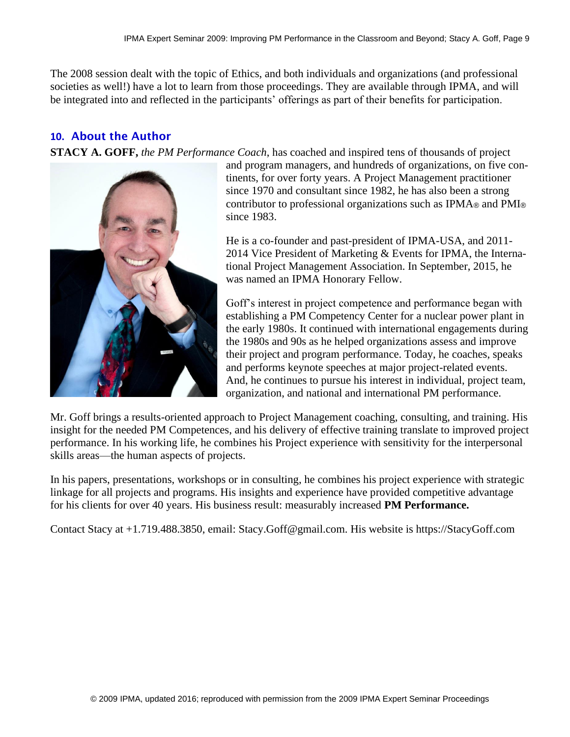The 2008 session dealt with the topic of Ethics, and both individuals and organizations (and professional societies as well!) have a lot to learn from those proceedings. They are available through IPMA, and will be integrated into and reflected in the participants' offerings as part of their benefits for participation.

#### **10.** About the Author

**STACY A. GOFF,** *the PM Performance Coach*, has coached and inspired tens of thousands of project



and program managers, and hundreds of organizations, on five continents, for over forty years. A Project Management practitioner since 1970 and consultant since 1982, he has also been a strong contributor to professional organizations such as IPMA® and PMI® since 1983.

He is a co-founder and past-president of IPMA-USA, and 2011- 2014 Vice President of Marketing & Events for IPMA, the International Project Management Association. In September, 2015, he was named an IPMA Honorary Fellow.

Goff's interest in project competence and performance began with establishing a PM Competency Center for a nuclear power plant in the early 1980s. It continued with international engagements during the 1980s and 90s as he helped organizations assess and improve their project and program performance. Today, he coaches, speaks and performs keynote speeches at major project-related events. And, he continues to pursue his interest in individual, project team, organization, and national and international PM performance.

Mr. Goff brings a results-oriented approach to Project Management coaching, consulting, and training. His insight for the needed PM Competences, and his delivery of effective training translate to improved project performance. In his working life, he combines his Project experience with sensitivity for the interpersonal skills areas—the human aspects of projects.

In his papers, presentations, workshops or in consulting, he combines his project experience with strategic linkage for all projects and programs. His insights and experience have provided competitive advantage for his clients for over 40 years. His business result: measurably increased **PM Performance.** 

Contact Stacy at +1.719.488.3850, email: Stacy.Goff@gmail.com. His website is https://StacyGoff.com